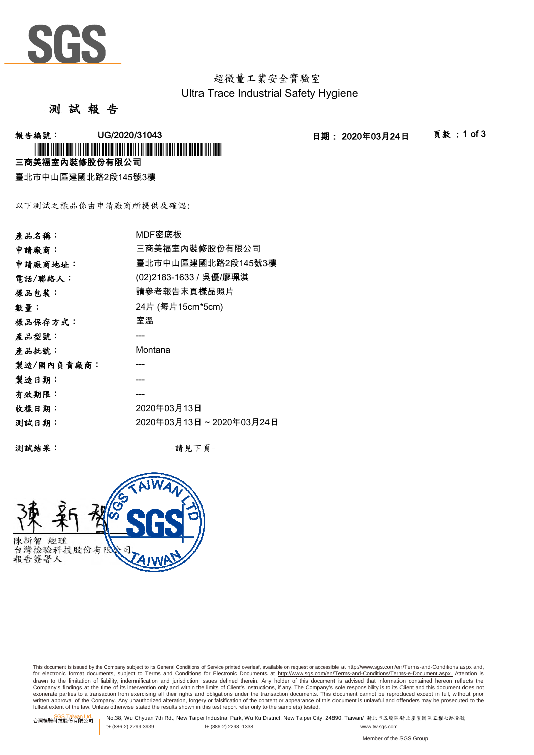

超微量工業安全實驗室 Ultra Trace Industrial Safety Hygiene

測 試 報 告

-<br>報告編號: UG/2020/31043 日期: 2020年03月24日 頁數:1 of 3

三商美福室內裝修股份有限公司 \* I TO OUR TITLE OF THE TITLE OF THE TITLE OF THE TITLE OF THE TITLE OF THE TITLE OF THE TITLE OF THE TITLE OF

臺北市中山區建國北路2段145號3樓

以下測試之樣品係由申請廠商所提供及確認:

| 產品名稱:      | MDF密底板                  |
|------------|-------------------------|
| 申請廠商:      | 三商美福室內裝修股份有限公司          |
| 申請廠商地址:    | 臺北市中山區建國北路2段145號3樓      |
| 電話/聯絡人:    | (02)2183-1633 / 吳優/廖珮淇  |
| 樣品包裝:      | 請參考報告末頁樣品照片             |
| 數量:        | 24片 (每片15cm*5cm)        |
| 樣品保存方式:    | 室溫                      |
| 產品型號:      |                         |
| 產品批號:      | Montana                 |
| 製造/國內負責廠商: |                         |
| 製造日期:      |                         |
| 有效期限:      |                         |
| 收樣日期:      | 2020年03月13日             |
| 测試日期:      | 2020年03月13日~2020年03月24日 |
|            |                         |

測試結果: -請見下頁-



This document is issued by the Company subject to its General Conditions of Service printed overleaf, available on request or accessible at http://www.sgs.com/en/Terms-and-Conditions.aspx and, for electronic format documents, subject to Terms and Conditions for Electronic Documents at <u>http://www.sqs.com/en/Terms-and-Conditions/Terms-e-Document.aspx.</u> Attention is<br>drawn to the limitation of liability, indemnific exonerate parties to a transaction from exercising all their rights and obligations under the transaction documents. This document cannot be reproduced except in full, without prior prior<br>written approval of the Company. A

SGS Taiwan Ltd. No.38, Wu Chyuan 7th Rd., New Taipei Industrial Park, Wu Ku District, New Taipei City, 24890, Taiwan/ 新北市五股區新北產業園區五權七路38號<br>| t+ (886-2) 2299-3939 f+ (886-2) 2298 -1338 www.tw. t+ (886-2) 2299-3939 f+ (886-2) 2298 -1338 www.tw.sgs.com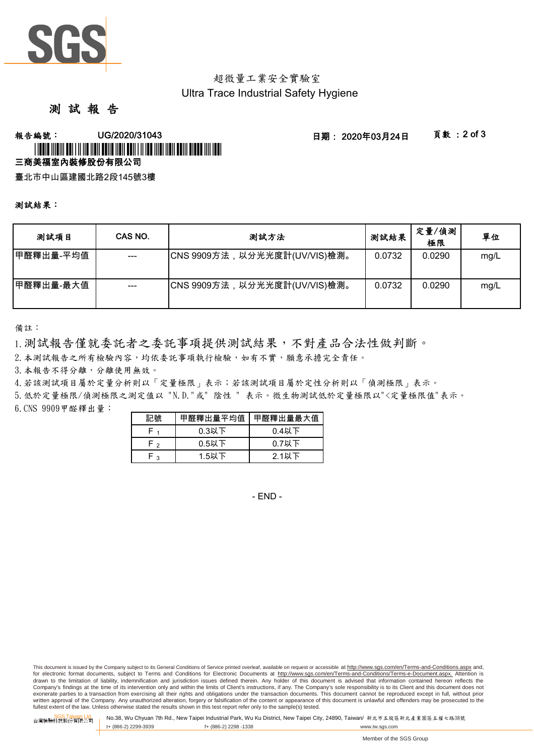

# 超微量工業安全實驗室 Ultra Trace Industrial Safety Hygiene

# 測 試 報 告

### -<br>報告編號: UG/2020/31043 日期: 2020年03月24日 頁數 :2 of 3 三商美福室內裝修股份有限公司 \* L'INDIA (ILINI) DUL 1 II III IIBII DULIO IIBII DULL 1 II IID IIIBI IIBII DULII DUDDO IIII ID

臺北市中山區建國北路2段145號3樓

#### 測試結果:

| 测試項目      | CAS NO. | 测試方法                         | 测試結果   | 定量/偵測<br>極限 | 單位   |
|-----------|---------|------------------------------|--------|-------------|------|
| 甲醛釋出量-平均值 |         | CNS 9909方法,以分光光度計(UV/VIS)檢測。 | 0.0732 | 0.0290      | mg/L |
| 甲醛釋出量-最大值 | $---$   | CNS 9909方法,以分光光度計(UV/VIS)檢測。 | 0.0732 | 0.0290      | mg/L |

備註:

1.測試報告僅就委託者之委託事項提供測試結果,不對產品合法性做判斷。

2.本測試報告之所有檢驗內容,均依委託事項執行檢驗,如有不實,願意承擔完全責任。

3.本報告不得分離,分離使用無效。

4.若該測試項目屬於定量分析則以「定量極限」表示;若該測試項目屬於定性分析則以「偵測極限」表示。

6.CNS 9909甲醛釋出量: 5.低於定量極限/偵測極限之測定值以 "N.D."或" 陰性 " 表示。微生物測試低於定量極限以"<定量極限值"表示。

| 記號   | 甲醛釋出量平均值 | 甲醛釋出量最大值 |
|------|----------|----------|
|      | $0.3$ 以下 | $0.4$ 以下 |
| ه -ا | $0.5$ 以下 | $0.7$ 以下 |
| ໍ່   | 1.5以下    | 2.1以下    |

- END -

This document is issued by the Company subject to its General Conditions of Service printed overleaf, available on request or accessible at http://www.sgs.com/en/Terms-and-Conditions.aspx and, for electronic format documents, subject to Terms and Conditions for Electronic Documents at http://www.sgs.com/en/Terms-and-Conditions/Terms-e-Document.aspx. Attention is drawn to the limitation of liability, indemnification and jurisdiction issues defined therein. Any holder of this document is advised that information contained hereon reflects the<br>Company's findings at the time of its int exonerate parties to a transaction from exercising all their rights and obligations under the transaction documents. This document cannot be reproduced except in full, without prior written approval of the Company. Any unauthorized alteration, forgery or falsification of the content or appearance of this document is unlawful and offenders may be prosecuted to the<br>fullest extent of the law. Unless othe